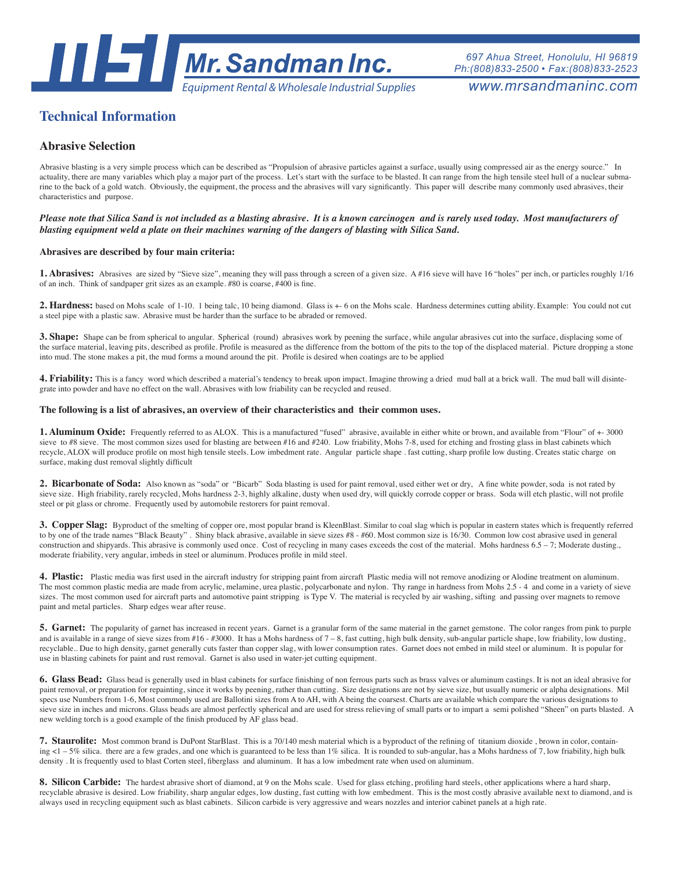

*697 Ahua Street, Honolulu, HI 96819 Ph:(808)833-2500 • Fax:(808)833-2523*

# **Technical Information**

# **Abrasive Selection**

Abrasive blasting is a very simple process which can be described as "Propulsion of abrasive particles against a surface, usually using compressed air as the energy source." In actuality, there are many variables which play a major part of the process. Let's start with the surface to be blasted. It can range from the high tensile steel hull of a nuclear submarine to the back of a gold watch. Obviously, the equipment, the process and the abrasives will vary significantly. This paper will describe many commonly used abrasives, their characteristics and purpose.

## *Please note that Silica Sand is not included as a blasting abrasive. It is a known carcinogen and is rarely used today. Most manufacturers of blasting equipment weld a plate on their machines warning of the dangers of blasting with Silica Sand.*

### **Abrasives are described by four main criteria:**

1. Abrasives: Abrasives are sized by "Sieve size", meaning they will pass through a screen of a given size. A #16 sieve will have 16 "holes" per inch, or particles roughly 1/16 of an inch. Think of sandpaper grit sizes as an example. #80 is coarse, #400 is fine.

2. Hardness: based on Mohs scale of 1-10. 1 being talc, 10 being diamond. Glass is +- 6 on the Mohs scale. Hardness determines cutting ability. Example: You could not cut a steel pipe with a plastic saw. Abrasive must be harder than the surface to be abraded or removed.

**3. Shape:** Shape can be from spherical to angular. Spherical (round) abrasives work by peening the surface, while angular abrasives cut into the surface, displacing some of the surface material, leaving pits, described as profile. Profile is measured as the difference from the bottom of the pits to the top of the displaced material. Picture dropping a stone into mud. The stone makes a pit, the mud forms a mound around the pit. Profile is desired when coatings are to be applied

4. Friability: This is a fancy word which described a material's tendency to break upon impact. Imagine throwing a dried mud ball at a brick wall. The mud ball will disintegrate into powder and have no effect on the wall. Abrasives with low friability can be recycled and reused.

### **The following is a list of abrasives, an overview of their characteristics and their common uses.**

**1. Aluminum Oxide:** Frequently referred to as ALOX. This is a manufactured "fused" abrasive, available in either white or brown, and available from "Flour" of +- 3000 sieve to #8 sieve. The most common sizes used for blasting are between #16 and #240. Low friability, Mohs 7-8, used for etching and frosting glass in blast cabinets which recycle, ALOX will produce profile on most high tensile steels. Low imbedment rate. Angular particle shape . fast cutting, sharp profile low dusting. Creates static charge on surface, making dust removal slightly difficult

**2. Bicarbonate of Soda:** Also known as "soda" or "Bicarb" Soda blasting is used for paint removal, used either wet or dry, A fine white powder, soda is not rated by sieve size. High friability, rarely recycled, Mohs hardness 2-3, highly alkaline, dusty when used dry, will quickly corrode copper or brass. Soda will etch plastic, will not profile steel or pit glass or chrome. Frequently used by automobile restorers for paint removal.

**3. Copper Slag:** Byproduct of the smelting of copper ore, most popular brand is KleenBlast. Similar to coal slag which is popular in eastern states which is frequently referred to by one of the trade names "Black Beauty" . Shiny black abrasive, available in sieve sizes #8 - #60. Most common size is 16/30. Common low cost abrasive used in general construction and shipyards. This abrasive is commonly used once. Cost of recycling in many cases exceeds the cost of the material. Mohs hardness  $6.5 - 7$ ; Moderate dusting., moderate friability, very angular, imbeds in steel or aluminum. Produces profile in mild steel.

**4. Plastic:** Plastic media was first used in the aircraft industry for stripping paint from aircraft Plastic media will not remove anodizing or Alodine treatment on aluminum. The most common plastic media are made from acrylic, melamine, urea plastic, polycarbonate and nylon. Thy range in hardness from Mohs 2.5 - 4 and come in a variety of sieve sizes. The most common used for aircraft parts and automotive paint stripping is Type V. The material is recycled by air washing, sifting and passing over magnets to remove paint and metal particles. Sharp edges wear after reuse.

**5. Garnet:** The popularity of garnet has increased in recent years. Garnet is a granular form of the same material in the garnet gemstone. The color ranges from pink to purple and is available in a range of sieve sizes from #16 - #3000. It has a Mohs hardness of  $7 - 8$ , fast cutting, high bulk density, sub-angular particle shape, low friability, low dusting, recyclable.. Due to high density, garnet generally cuts faster than copper slag, with lower consumption rates. Garnet does not embed in mild steel or aluminum. It is popular for use in blasting cabinets for paint and rust removal. Garnet is also used in water-jet cutting equipment.

**6. Glass Bead:** Glass bead is generally used in blast cabinets for surface finishing of non ferrous parts such as brass valves or aluminum castings. It is not an ideal abrasive for paint removal, or preparation for repainting, since it works by peening, rather than cutting. Size designations are not by sieve size, but usually numeric or alpha designations. Mil specs use Numbers from 1-6, Most commonly used are Ballotini sizes from A to AH, with A being the coarsest. Charts are available which compare the various designations to sieve size in inches and microns. Glass beads are almost perfectly spherical and are used for stress relieving of small parts or to impart a semi polished "Sheen" on parts blasted. A new welding torch is a good example of the finish produced by AF glass bead.

**7. Staurolite:** Most common brand is DuPont StarBlast. This is a 70/140 mesh material which is a byproduct of the refining of titanium dioxide , brown in color, containing <1 – 5% silica. there are a few grades, and one which is guaranteed to be less than 1% silica. It is rounded to sub-angular, has a Mohs hardness of 7, low friability, high bulk density . It is frequently used to blast Corten steel, fiberglass and aluminum. It has a low imbedment rate when used on aluminum.

8. Silicon Carbide: The hardest abrasive short of diamond, at 9 on the Mohs scale. Used for glass etching, profiling hard steels, other applications where a hard sharp, recyclable abrasive is desired. Low friability, sharp angular edges, low dusting, fast cutting with low embedment. This is the most costly abrasive available next to diamond, and is always used in recycling equipment such as blast cabinets. Silicon carbide is very aggressive and wears nozzles and interior cabinet panels at a high rate.